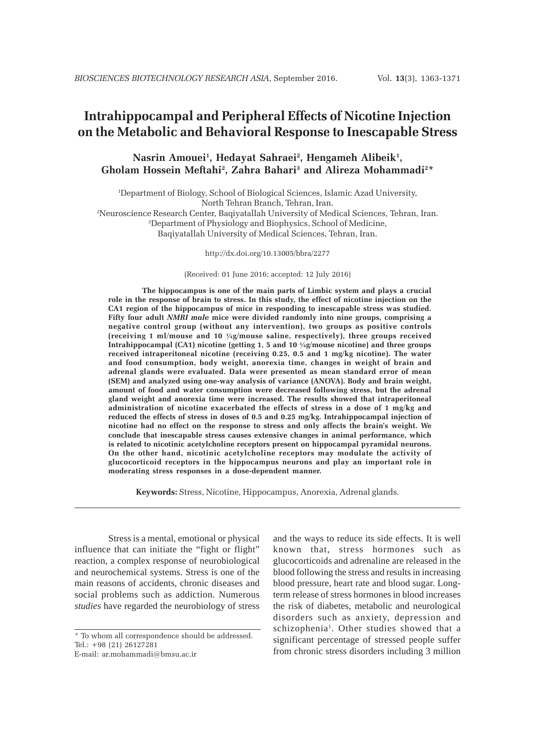# **Intrahippocampal and Peripheral Effects of Nicotine Injection on the Metabolic and Behavioral Response to Inescapable Stress**

# **Nasrin Amouei1 , Hedayat Sahraei2 , Hengameh Alibeik1 , Gholam Hossein Meftahi2 , Zahra Bahari3 and Alireza Mohammadi2\***

1 Department of Biology, School of Biological Sciences, Islamic Azad University, North Tehran Branch, Tehran, Iran. 2 Neuroscience Research Center, Baqiyatallah University of Medical Sciences, Tehran, Iran. 3 Department of Physiology and Biophysics, School of Medicine, Baqiyatallah University of Medical Sciences, Tehran, Iran.

http://dx.doi.org/10.13005/bbra/2277

(Received: 01 June 2016; accepted: 12 July 2016)

**The hippocampus is one of the main parts of Limbic system and plays a crucial role in the response of brain to stress. In this study, the effect of nicotine injection on the CA1 region of the hippocampus of mice in responding to inescapable stress was studied. Fifty four adult** *NMRI male* **mice were divided randomly into nine groups, comprising a negative control group (without any intervention), two groups as positive controls (receiving 1 ml/mouse and 10 ¼g/mouse saline, respectively), three groups received Intrahippocampal (CA1) nicotine (getting 1, 5 and 10 ¼g/mouse nicotine) and three groups received intraperitoneal nicotine (receiving 0.25, 0.5 and 1 mg/kg nicotine). The water and food consumption, body weight, anorexia time, changes in weight of brain and adrenal glands were evaluated. Data were presented as mean standard error of mean (SEM) and analyzed using one-way analysis of variance (ANOVA). Body and brain weight, amount of food and water consumption were decreased following stress, but the adrenal gland weight and anorexia time were increased. The results showed that intraperitoneal administration of nicotine exacerbated the effects of stress in a dose of 1 mg/kg and reduced the effects of stress in doses of 0.5 and 0.25 mg/kg. Intrahippocampal injection of nicotine had no effect on the response to stress and only affects the brain's weight. We conclude that inescapable stress causes extensive changes in animal performance, which is related to nicotinic acetylcholine receptors present on hippocampal pyramidal neurons. On the other hand, nicotinic acetylcholine receptors may modulate the activity of glucocorticoid receptors in the hippocampus neurons and play an important role in moderating stress responses in a dose-dependent manner.**

**Keywords:** Stress, Nicotine, Hippocampus, Anorexia, Adrenal glands.

Stress is a mental, emotional or physical influence that can initiate the "fight or flight" reaction, a complex response of neurobiological and neurochemical systems. Stress is one of the main reasons of accidents, chronic diseases and social problems such as addiction. Numerous *studies* have regarded the neurobiology of stress

and the ways to reduce its side effects. It is well known that, stress hormones such as glucocorticoids and adrenaline are released in the blood following the stress and results in increasing blood pressure, heart rate and blood sugar. Longterm release of stress hormones in blood increases the risk of diabetes, metabolic and neurological disorders such as anxiety, depression and schizophenia<sup>1</sup>. Other studies showed that a significant percentage of stressed people suffer from chronic stress disorders including 3 million

<sup>\*</sup> To whom all correspondence should be addressed. Tel.: +98 (21) 26127281

E-mail: ar.mohammadi@bmsu.ac.ir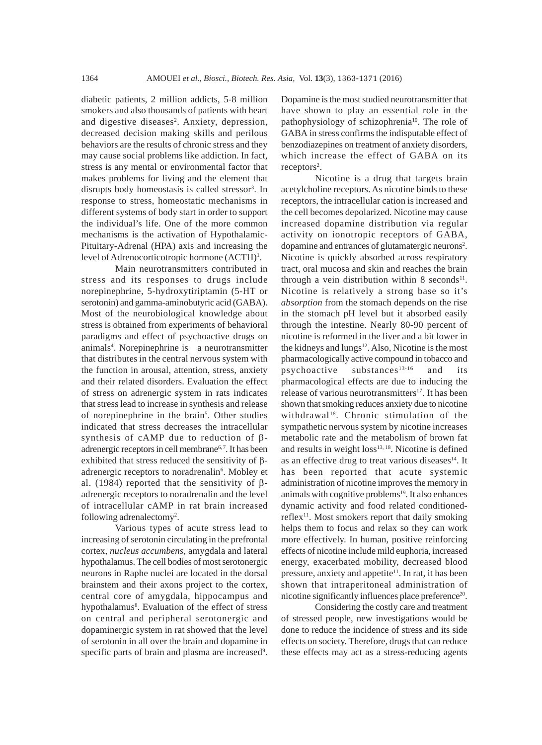diabetic patients, 2 million addicts, 5-8 million smokers and also thousands of patients with heart and digestive diseases<sup>2</sup>. Anxiety, depression, decreased decision making skills and perilous behaviors are the results of chronic stress and they may cause social problems like addiction. In fact, stress is any mental or environmental factor that makes problems for living and the element that disrupts body homeostasis is called stressor<sup>3</sup>. In response to stress, homeostatic mechanisms in different systems of body start in order to support the individual's life. One of the more common mechanisms is the activation of Hypothalamic-Pituitary-Adrenal (HPA) axis and increasing the level of Adrenocorticotropic hormone (ACTH)<sup>1</sup>.

Main neurotransmitters contributed in stress and its responses to drugs include norepinephrine, 5-hydroxytiriptamin (5-HT or serotonin) and gamma-aminobutyric acid (GABA). Most of the neurobiological knowledge about stress is obtained from experiments of behavioral paradigms and effect of psychoactive drugs on animals<sup>4</sup>. Norepinephrine is a neurotransmitter that distributes in the central nervous system with the function in arousal, attention, stress, anxiety and their related disorders. Evaluation the effect of stress on adrenergic system in rats indicates that stress lead to increase in synthesis and release of norepinephrine in the brain<sup>5</sup>. Other studies indicated that stress decreases the intracellular synthesis of cAMP due to reduction of βadrenergic receptors in cell membrane<sup>6,7</sup>. It has been exhibited that stress reduced the sensitivity of βadrenergic receptors to noradrenalin<sup>6</sup>. Mobley et al. (1984) reported that the sensitivity of βadrenergic receptors to noradrenalin and the level of intracellular cAMP in rat brain increased following adrenalectomy<sup>2</sup>.

Various types of acute stress lead to increasing of serotonin circulating in the prefrontal cortex, *nucleus accumbens*, amygdala and lateral hypothalamus. The cell bodies of most serotonergic neurons in Raphe nuclei are located in the dorsal brainstem and their axons project to the cortex, central core of amygdala, hippocampus and hypothalamus<sup>8</sup>. Evaluation of the effect of stress on central and peripheral serotonergic and dopaminergic system in rat showed that the level of serotonin in all over the brain and dopamine in specific parts of brain and plasma are increased<sup>9</sup>.

Dopamine is the most studied neurotransmitter that have shown to play an essential role in the pathophysiology of schizophrenia<sup>10</sup>. The role of GABA in stress confirms the indisputable effect of benzodiazepines on treatment of anxiety disorders, which increase the effect of GABA on its  $receptors<sup>2</sup>$ .

Nicotine is a drug that targets brain acetylcholine receptors. As nicotine binds to these receptors, the intracellular cation is increased and the cell becomes depolarized. Nicotine may cause increased dopamine distribution via regular activity on ionotropic receptors of GABA, dopamine and entrances of glutamatergic neurons<sup>2</sup>. Nicotine is quickly absorbed across respiratory tract, oral mucosa and skin and reaches the brain through a vein distribution within 8 seconds<sup>11</sup>. Nicotine is relatively a strong base so it's *absorption* from the stomach depends on the rise in the stomach pH level but it absorbed easily through the intestine. Nearly 80-90 percent of nicotine is reformed in the liver and a bit lower in the kidneys and lungs<sup>12</sup>. Also, Nicotine is the most pharmacologically active compound in tobacco and psychoactive substances<sup>13-16</sup> and its pharmacological effects are due to inducing the release of various neurotransmitters<sup>17</sup>. It has been shown that smoking reduces anxiety due to nicotine withdrawal<sup>18</sup>. Chronic stimulation of the sympathetic nervous system by nicotine increases metabolic rate and the metabolism of brown fat and results in weight  $loss<sup>13, 18</sup>$ . Nicotine is defined as an effective drug to treat various diseases<sup>14</sup>. It has been reported that acute systemic administration of nicotine improves the memory in animals with cognitive problems $19$ . It also enhances dynamic activity and food related conditionedreflex<sup>11</sup>. Most smokers report that daily smoking helps them to focus and relax so they can work more effectively. In human, positive reinforcing effects of nicotine include mild euphoria, increased energy, exacerbated mobility, decreased blood pressure, anxiety and appetite<sup>11</sup>. In rat, it has been shown that intraperitoneal administration of nicotine significantly influences place preference<sup>20</sup>.

Considering the costly care and treatment of stressed people, new investigations would be done to reduce the incidence of stress and its side effects on society. Therefore, drugs that can reduce these effects may act as a stress-reducing agents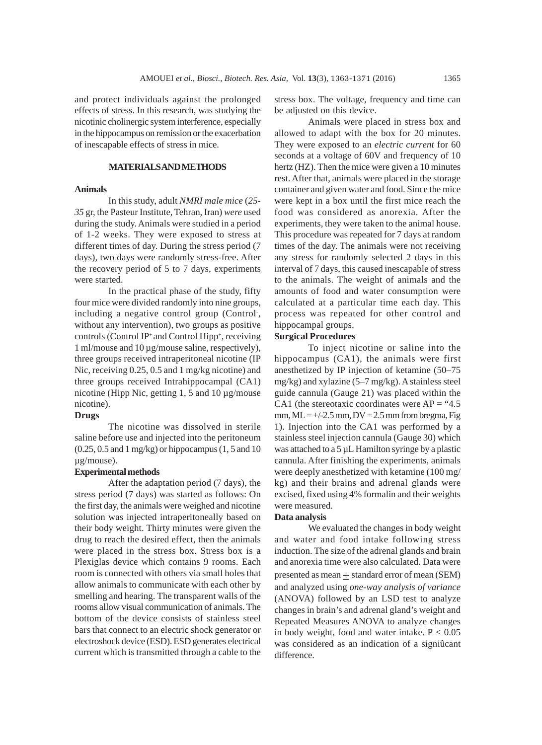and protect individuals against the prolonged effects of stress. In this research, was studying the nicotinic cholinergic system interference, especially in the hippocampus on remission or the exacerbation of inescapable effects of stress in mice.

## **MATERIALS AND METHODS**

#### **Animals**

In this study, adult *NMRI male mice* (*25- 35* gr, the Pasteur Institute, Tehran, Iran) *were* used during the study. Animals were studied in a period of 1-2 weeks. They were exposed to stress at different times of day. During the stress period (7 days), two days were randomly stress-free. After the recovery period of 5 to 7 days, experiments were started.

In the practical phase of the study, fifty four mice were divided randomly into nine groups, including a negative control group (Control, without any intervention), two groups as positive controls (Control IP<sup>+</sup> and Control Hipp<sup>+</sup>, receiving 1 ml/mouse and 10 µg/mouse saline, respectively), three groups received intraperitoneal nicotine (IP Nic, receiving 0.25, 0.5 and 1 mg/kg nicotine) and three groups received Intrahippocampal (CA1) nicotine (Hipp Nic, getting 1, 5 and 10 µg/mouse nicotine).

#### **Drugs**

The nicotine was dissolved in sterile saline before use and injected into the peritoneum (0.25, 0.5 and 1 mg/kg) or hippocampus (1, 5 and 10 µg/mouse).

## **Experimental methods**

After the adaptation period (7 days), the stress period (7 days) was started as follows: On the first day, the animals were weighed and nicotine solution was injected intraperitoneally based on their body weight. Thirty minutes were given the drug to reach the desired effect, then the animals were placed in the stress box. Stress box is a Plexiglas device which contains 9 rooms. Each room is connected with others via small holes that allow animals to communicate with each other by smelling and hearing. The transparent walls of the rooms allow visual communication of animals. The bottom of the device consists of stainless steel bars that connect to an electric shock generator or electroshock device (ESD). ESD generates electrical current which is transmitted through a cable to the

stress box. The voltage, frequency and time can be adjusted on this device.

Animals were placed in stress box and allowed to adapt with the box for 20 minutes. They were exposed to an *electric current* for 60 seconds at a voltage of 60V and frequency of 10 hertz (HZ). Then the mice were given a 10 minutes rest. After that, animals were placed in the storage container and given water and food. Since the mice were kept in a box until the first mice reach the food was considered as anorexia. After the experiments, they were taken to the animal house. This procedure was repeated for 7 days at random times of the day. The animals were not receiving any stress for randomly selected 2 days in this interval of 7 days, this caused inescapable of stress to the animals. The weight of animals and the amounts of food and water consumption were calculated at a particular time each day. This process was repeated for other control and hippocampal groups.

#### **Surgical Procedures**

To inject nicotine or saline into the hippocampus (CA1), the animals were first anesthetized by IP injection of ketamine (50–75 mg/kg) and xylazine (5–7 mg/kg). A stainless steel guide cannula (Gauge 21) was placed within the CA1 (the stereotaxic coordinates were  $AP = "4.5$  $mm, ML = +/-2.5 mm, DV = 2.5 mm from bregma, Fig$ 1). Injection into the CA1 was performed by a stainless steel injection cannula (Gauge 30) which was attached to a 5 µL Hamilton syringe by a plastic cannula. After finishing the experiments, animals were deeply anesthetized with ketamine (100 mg/ kg) and their brains and adrenal glands were excised, fixed using 4% formalin and their weights were measured.

#### **Data analysis**

We evaluated the changes in body weight and water and food intake following stress induction. The size of the adrenal glands and brain and anorexia time were also calculated. Data were presented as mean + standard error of mean (SEM) and analyzed using *one*-*way analysis of variance* (ANOVA) followed by an LSD test to analyze changes in brain's and adrenal gland's weight and Repeated Measures ANOVA to analyze changes in body weight, food and water intake.  $P < 0.05$ was considered as an indication of a signiûcant difference.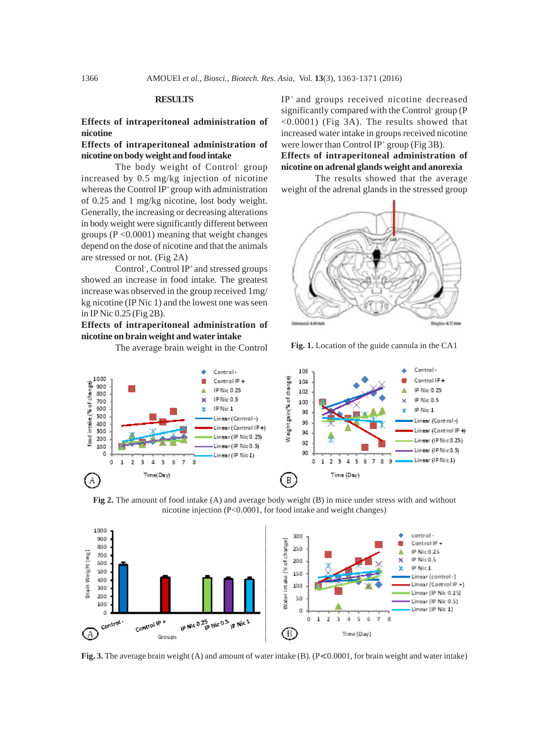#### **RESULTS**

## **Effects of intraperitoneal administration of nicotine**

# **Effects of intraperitoneal administration of nicotine on body weight and food intake**

The body weight of Control<sup>-</sup> group increased by 0.5 mg/kg injection of nicotine whereas the Control IP+ group with administration of 0.25 and 1 mg/kg nicotine, lost body weight. Generally, the increasing or decreasing alterations in body weight were significantly different between groups ( $P \le 0.0001$ ) meaning that weight changes depend on the dose of nicotine and that the animals are stressed or not. (Fig 2A)

Control<sup>,</sup> Control IP<sup>+</sup> and stressed groups showed an increase in food intake. The greatest increase was observed in the group received 1mg/ kg nicotine (IP Nic 1) and the lowest one was seen in IP Nic 0.25 (Fig 2B).

**Effects of intraperitoneal administration of nicotine on brain weight and water intake**

IP+ and groups received nicotine decreased significantly compared with the Control-group (P <0.0001) (Fig 3A). The results showed that increased water intake in groups received nicotine were lower than Control IP<sup>+</sup> group (Fig 3B).

**Effects of intraperitoneal administration of nicotine on adrenal glands weight and anorexia**

The results showed that the average weight of the adrenal glands in the stressed group



The average brain weight in the Control **Fig. 1.** Location of the guide cannula in the CA1



**Fig 2.** The amount of food intake (A) and average body weight (B) in mice under stress with and without nicotine injection (P<0.0001, for food intake and weight changes)



**Fig. 3.** The average brain weight  $(A)$  and amount of water intake  $(B)$ .  $(P<0.0001$ , for brain weight and water intake)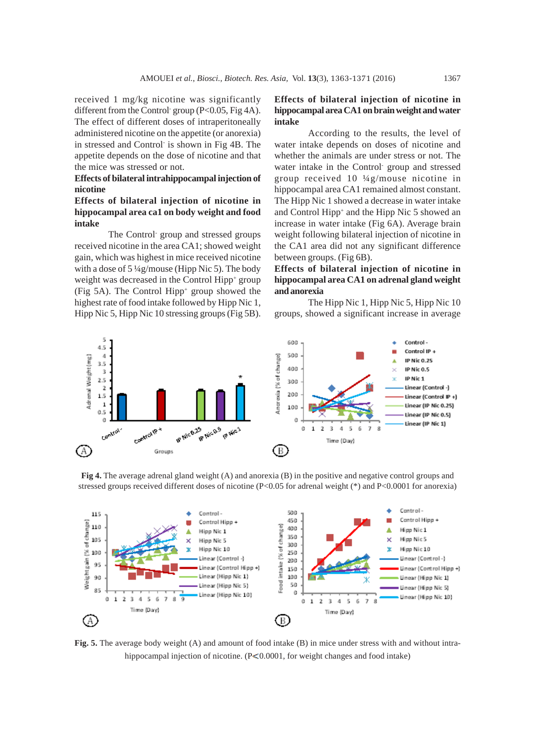received 1 mg/kg nicotine was significantly different from the Control-group (P<0.05, Fig 4A). The effect of different doses of intraperitoneally administered nicotine on the appetite (or anorexia) in stressed and Control is shown in Fig 4B. The appetite depends on the dose of nicotine and that the mice was stressed or not.

#### **Effects of bilateral intrahippocampal injection of nicotine**

## **Effects of bilateral injection of nicotine in hippocampal area ca1 on body weight and food intake**

The Control- group and stressed groups received nicotine in the area CA1; showed weight gain, which was highest in mice received nicotine with a dose of 5 ¼g/mouse (Hipp Nic 5). The body weight was decreased in the Control Hipp<sup>+</sup> group (Fig 5A). The Control Hipp+ group showed the highest rate of food intake followed by Hipp Nic 1, Hipp Nic 5, Hipp Nic 10 stressing groups (Fig 5B).

# **Effects of bilateral injection of nicotine in hippocampal area CA1 on brain weight and water intake**

According to the results, the level of water intake depends on doses of nicotine and whether the animals are under stress or not. The water intake in the Control- group and stressed group received 10 ¼g/mouse nicotine in hippocampal area CA1 remained almost constant. The Hipp Nic 1 showed a decrease in water intake and Control Hipp<sup>+</sup> and the Hipp Nic 5 showed an increase in water intake (Fig 6A). Average brain weight following bilateral injection of nicotine in the CA1 area did not any significant difference between groups. (Fig 6B).

# **Effects of bilateral injection of nicotine in hippocampal area CA1 on adrenal gland weight and anorexia**

The Hipp Nic 1, Hipp Nic 5, Hipp Nic 10 groups, showed a significant increase in average



**Fig 4.** The average adrenal gland weight (A) and anorexia (B) in the positive and negative control groups and stressed groups received different doses of nicotine (P<0.05 for adrenal weight (\*) and P<0.0001 for anorexia)



**Fig. 5.** The average body weight (A) and amount of food intake (B) in mice under stress with and without intrahippocampal injection of nicotine.  $(P< 0.0001$ , for weight changes and food intake)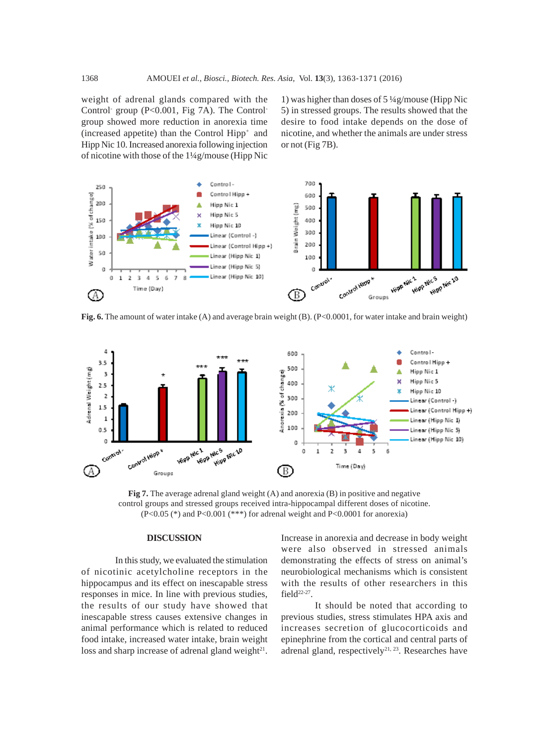weight of adrenal glands compared with the Control- group (P<0.001, Fig 7A). The Controlgroup showed more reduction in anorexia time (increased appetite) than the Control Hipp+ and Hipp Nic 10. Increased anorexia following injection of nicotine with those of the 1¼g/mouse (Hipp Nic

1) was higher than doses of 5 ¼g/mouse (Hipp Nic 5) in stressed groups. The results showed that the desire to food intake depends on the dose of nicotine, and whether the animals are under stress or not (Fig 7B).



**Fig. 6.** The amount of water intake (A) and average brain weight (B). (P<0.0001, for water intake and brain weight)



**Fig 7.** The average adrenal gland weight (A) and anorexia (B) in positive and negative control groups and stressed groups received intra-hippocampal different doses of nicotine. (P<0.05 (\*) and P<0.001 (\*\*\*) for adrenal weight and P<0.0001 for anorexia)

#### **DISCUSSION**

In this study, we evaluated the stimulation of nicotinic acetylcholine receptors in the hippocampus and its effect on inescapable stress responses in mice. In line with previous studies, the results of our study have showed that inescapable stress causes extensive changes in animal performance which is related to reduced food intake, increased water intake, brain weight loss and sharp increase of adrenal gland weight $21$ .

Increase in anorexia and decrease in body weight were also observed in stressed animals demonstrating the effects of stress on animal's neurobiological mechanisms which is consistent with the results of other researchers in this field<sup>22-27</sup>.

It should be noted that according to previous studies, stress stimulates HPA axis and increases secretion of glucocorticoids and epinephrine from the cortical and central parts of adrenal gland, respectively<sup>21, 23</sup>. Researches have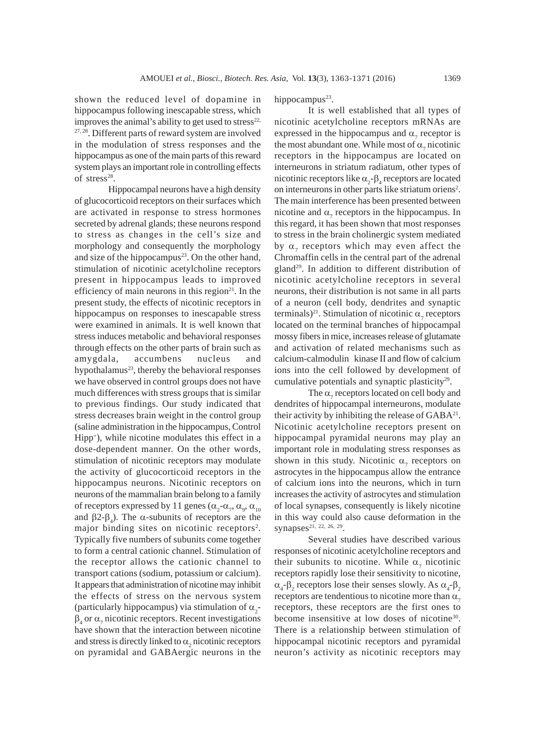shown the reduced level of dopamine in hippocampus following inescapable stress, which improves the animal's ability to get used to stress<sup>22,</sup> 27, 28. Different parts of reward system are involved in the modulation of stress responses and the hippocampus as one of the main parts of this reward system plays an important role in controlling effects of stress $28$ .

Hippocampal neurons have a high density of glucocorticoid receptors on their surfaces which are activated in response to stress hormones secreted by adrenal glands; these neurons respond to stress as changes in the cell's size and morphology and consequently the morphology and size of the hippocampus<sup>23</sup>. On the other hand, stimulation of nicotinic acetylcholine receptors present in hippocampus leads to improved efficiency of main neurons in this region $21$ . In the present study, the effects of nicotinic receptors in hippocampus on responses to inescapable stress were examined in animals. It is well known that stress induces metabolic and behavioral responses through effects on the other parts of brain such as amygdala, accumbens nucleus and hypothalamus $^{23}$ , thereby the behavioral responses we have observed in control groups does not have much differences with stress groups that is similar to previous findings. Our study indicated that stress decreases brain weight in the control group (saline administration in the hippocampus, Control Hipp+), while nicotine modulates this effect in a dose-dependent manner. On the other words, stimulation of nicotinic receptors may modulate the activity of glucocorticoid receptors in the hippocampus neurons. Nicotinic receptors on neurons of the mammalian brain belong to a family of receptors expressed by 11 genes  $(\alpha_{2}$ - $\alpha_{7}, \alpha_{9}, \alpha_{10})$ and  $\beta$ 2- $\beta_4$ ). The  $\alpha$ -subunits of receptors are the major binding sites on nicotinic receptors<sup>2</sup>. Typically five numbers of subunits come together to form a central cationic channel. Stimulation of the receptor allows the cationic channel to transport cations (sodium, potassium or calcium). It appears that administration of nicotine may inhibit the effects of stress on the nervous system (particularly hippocampus) via stimulation of  $\alpha_2$ - $\beta_4$  or  $\alpha_7$  nicotinic receptors. Recent investigations have shown that the interaction between nicotine and stress is directly linked to  $\alpha_{2}$  nicotinic receptors on pyramidal and GABAergic neurons in the

hippocampus $23$ .

It is well established that all types of nicotinic acetylcholine receptors mRNAs are expressed in the hippocampus and  $\alpha$ <sub>7</sub> receptor is the most abundant one. While most of  $\alpha_{7}$  nicotinic receptors in the hippocampus are located on interneurons in striatum radiatum, other types of nicotinic receptors like  $\alpha_2$ - $\beta_4$  receptors are located on interneurons in other parts like striatum oriens<sup>2</sup>. The main interference has been presented between nicotine and  $\alpha$ <sub>7</sub> receptors in the hippocampus. In this regard, it has been shown that most responses to stress in the brain cholinergic system mediated by  $\alpha_{7}$  receptors which may even affect the Chromaffin cells in the central part of the adrenal gland29. In addition to different distribution of nicotinic acetylcholine receptors in several neurons, their distribution is not same in all parts of a neuron (cell body, dendrites and synaptic terminals)<sup>21</sup>. Stimulation of nicotinic  $\alpha_{\gamma}$  receptors located on the terminal branches of hippocampal mossy fibers in mice, increases release of glutamate and activation of related mechanisms such as calcium-calmodulin kinase II and flow of calcium ions into the cell followed by development of cumulative potentials and synaptic plasticity<sup>29</sup>.

The  $\alpha$ <sub>7</sub> receptors located on cell body and dendrites of hippocampal interneurons, modulate their activity by inhibiting the release of  $GABA^{21}$ . Nicotinic acetylcholine receptors present on hippocampal pyramidal neurons may play an important role in modulating stress responses as shown in this study. Nicotinic  $\alpha_{7}$  receptors on astrocytes in the hippocampus allow the entrance of calcium ions into the neurons, which in turn increases the activity of astrocytes and stimulation of local synapses, consequently is likely nicotine in this way could also cause deformation in the synapses<sup>21, 22, 26, 29</sup>.

Several studies have described various responses of nicotinic acetylcholine receptors and their subunits to nicotine. While  $\alpha_{7}$  nicotinic receptors rapidly lose their sensitivity to nicotine,  $\alpha_4$ - $\beta_2$  receptors lose their senses slowly. As  $\alpha_4$ - $\beta_2$ receptors are tendentious to nicotine more than  $\alpha$ <sub>7</sub> receptors, these receptors are the first ones to become insensitive at low doses of nicotine<sup>30</sup>. There is a relationship between stimulation of hippocampal nicotinic receptors and pyramidal neuron's activity as nicotinic receptors may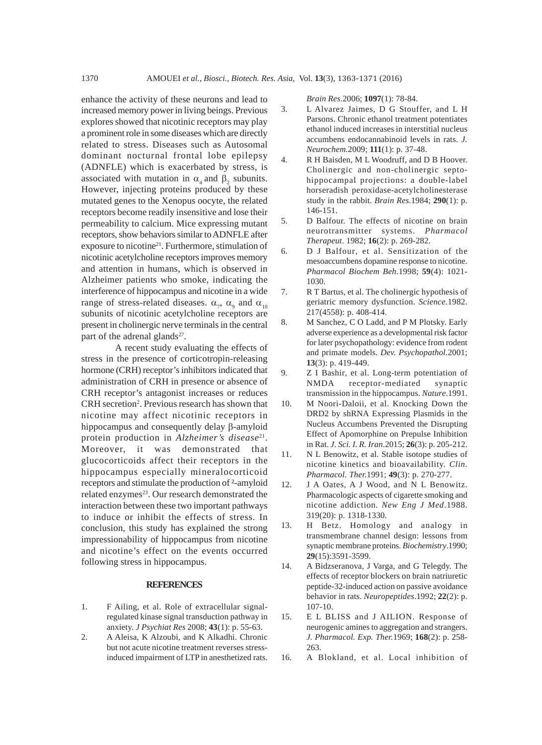enhance the activity of these neurons and lead to increased memory power in living beings. Previous explores showed that nicotinic receptors may play a prominent role in some diseases which are directly related to stress. Diseases such as Autosomal dominant nocturnal frontal lobe epilepsy (ADNFLE) which is exacerbated by stress, is associated with mutation in  $\alpha_4$  and  $\beta_2$  subunits. However, injecting proteins produced by these mutated genes to the Xenopus oocyte, the related receptors become readily insensitive and lose their permeability to calcium. Mice expressing mutant receptors, show behaviors similar to ADNFLE after exposure to nicotine<sup>21</sup>. Furthermore, stimulation of nicotinic acetylcholine receptors improves memory and attention in humans, which is observed in Alzheimer patients who smoke, indicating the interference of hippocampus and nicotine in a wide range of stress-related diseases.  $\alpha_{7}$ ,  $\alpha_{9}$  and  $\alpha_{10}$ subunits of nicotinic acetylcholine receptors are present in cholinergic nerve terminals in the central part of the adrenal glands $2^7$ .

A recent study evaluating the effects of stress in the presence of corticotropin-releasing hormone (CRH) receptor's inhibitors indicated that administration of CRH in presence or absence of CRH receptor's antagonist increases or reduces CRH secretion<sup>2</sup>. Previous research has shown that nicotine may affect nicotinic receptors in hippocampus and consequently delay β-amyloid protein production in *Alzheimer's disease*<sup>21</sup>. Moreover, it was demonstrated that glucocorticoids affect their receptors in the hippocampus especially mineralocorticoid receptors and stimulate the production of ²-amyloid related enzymes<sup>23</sup>. Our research demonstrated the interaction between these two important pathways to induce or inhibit the effects of stress. In conclusion, this study has explained the strong impressionability of hippocampus from nicotine and nicotine's effect on the events occurred following stress in hippocampus.

#### **REFERENCES**

- 1. F Ailing, et al. Role of extracellular signalregulated kinase signal transduction pathway in anxiety. *J Psychiat Res* 2008; **43**(1): p. 55-63.
- 2. A Aleisa, K Alzoubi, and K Alkadhi. Chronic but not acute nicotine treatment reverses stressinduced impairment of LTP in anesthetized rats.

*Brain Res*.2006; **1097**(1): 78-84.

- 3. L Alvarez Jaimes, D G Stouffer, and L H Parsons. Chronic ethanol treatment potentiates ethanol induced increases in interstitial nucleus accumbens endocannabinoid levels in rats. *J. Neurochem.*2009; **111**(1): p. 37-48.
- 4. R H Baisden, M L Woodruff, and D B Hoover. Cholinergic and non-cholinergic septohippocampal projections: a double-label horseradish peroxidase-acetylcholinesterase study in the rabbit. *Brain Res*.1984; **290**(1): p. 146-151.
- 5. D Balfour. The effects of nicotine on brain neurotransmitter systems. *Pharmacol Therapeut*. 1982; **16**(2): p. 269-282.
- 6. D J Balfour, et al. Sensitization of the mesoaccumbens dopamine response to nicotine. *Pharmacol Biochem Beh*.1998; **59**(4): 1021- 1030.
- 7. R T Bartus, et al. The cholinergic hypothesis of geriatric memory dysfunction. *Science*.1982. 217(4558): p. 408-414.
- 8. M Sanchez, C O Ladd, and P M Plotsky. Early adverse experience as a developmental risk factor for later psychopathology: evidence from rodent and primate models. *Dev. Psychopathol.*2001; **13**(3): p. 419-449.
- 9. Z I Bashir, et al. Long-term potentiation of NMDA receptor-mediated synaptic transmission in the hippocampus. *Nature*.1991.
- 10. M Noori-Daloii, et al. Knocking Down the DRD2 by shRNA Expressing Plasmids in the Nucleus Accumbens Prevented the Disrupting Effect of Apomorphine on Prepulse Inhibition in Rat. *J. Sci. I. R. Iran*.2015; **26**(3): p. 205-212.
- 11. N L Benowitz, et al. Stable isotope studies of nicotine kinetics and bioavailability. *Clin. Pharmacol. Ther.*1991; **49**(3): p. 270-277.
- 12. J A Oates, A J Wood, and N L Benowitz. Pharmacologic aspects of cigarette smoking and nicotine addiction. *New Eng J Med*.1988. 319(20): p. 1318-1330.
- 13. H Betz. Homology and analogy in transmembrane channel design: lessons from synaptic membrane proteins. *Biochemistry*.1990; **29**(15):3591-3599.
- 14. A Bidzseranova, J Varga, and G Telegdy. The effects of receptor blockers on brain natriuretic peptide-32-induced action on passive avoidance behavior in rats. *Neuropeptides*.1992; **22**(2): p. 107-10.
- 15. E L BLISS and J AILION. Response of neurogenic amines to aggregation and strangers. *J. Pharmacol. Exp. Ther.*1969; **168**(2): p. 258- 263.
- 16. A Blokland, et al. Local inhibition of